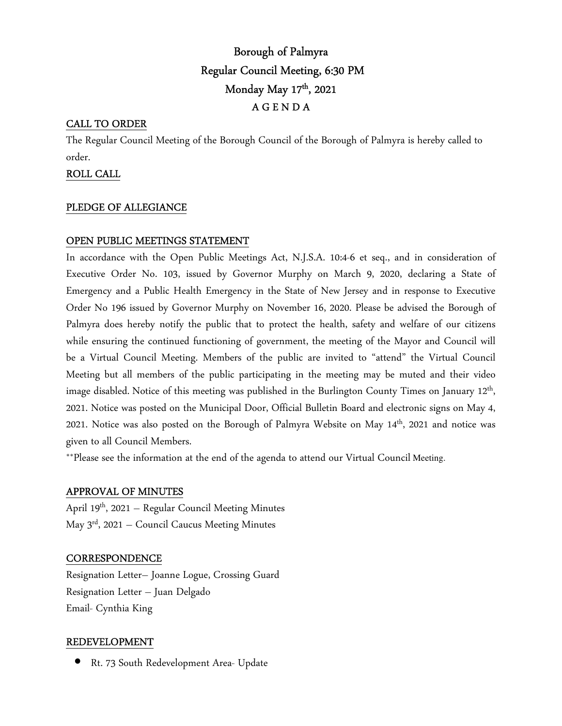# Borough of Palmyra Regular Council Meeting, 6:30 PM Monday May 17th, 2021 A G E N D A

## CALL TO ORDER

The Regular Council Meeting of the Borough Council of the Borough of Palmyra is hereby called to order.

## ROLL CALL

### PLEDGE OF ALLEGIANCE

## OPEN PUBLIC MEETINGS STATEMENT

In accordance with the Open Public Meetings Act, N.J.S.A. 10:4-6 et seq., and in consideration of Executive Order No. 103, issued by Governor Murphy on March 9, 2020, declaring a State of Emergency and a Public Health Emergency in the State of New Jersey and in response to Executive Order No 196 issued by Governor Murphy on November 16, 2020. Please be advised the Borough of Palmyra does hereby notify the public that to protect the health, safety and welfare of our citizens while ensuring the continued functioning of government, the meeting of the Mayor and Council will be a Virtual Council Meeting. Members of the public are invited to "attend" the Virtual Council Meeting but all members of the public participating in the meeting may be muted and their video image disabled. Notice of this meeting was published in the Burlington County Times on January 12<sup>th</sup>, 2021. Notice was posted on the Municipal Door, Official Bulletin Board and electronic signs on May 4, 2021. Notice was also posted on the Borough of Palmyra Website on May 14th, 2021 and notice was given to all Council Members.

\*\*Please see the information at the end of the agenda to attend our Virtual Council Meeting.

### APPROVAL OF MINUTES

April 19th, 2021 – Regular Council Meeting Minutes May  $3<sup>rd</sup>$ , 2021 – Council Caucus Meeting Minutes

### **CORRESPONDENCE**

Resignation Letter– Joanne Logue, Crossing Guard Resignation Letter – Juan Delgado Email- Cynthia King

### REDEVELOPMENT

• Rt. 73 South Redevelopment Area- Update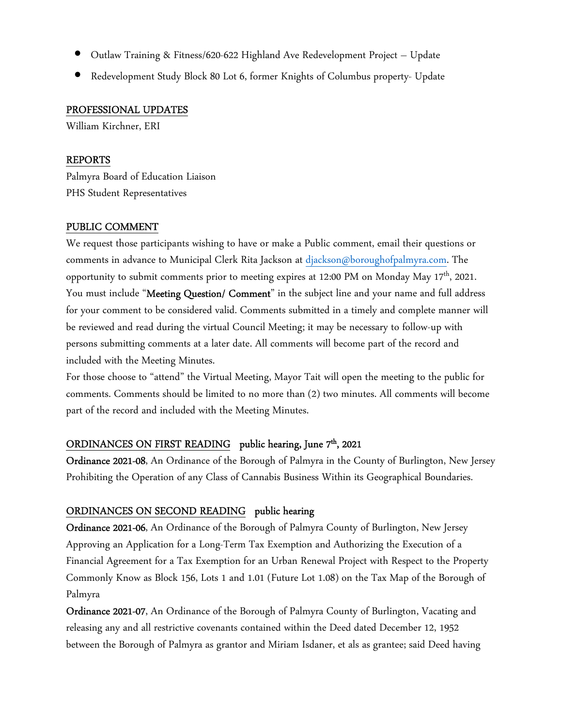- Outlaw Training & Fitness/620-622 Highland Ave Redevelopment Project Update
- Redevelopment Study Block 80 Lot 6, former Knights of Columbus property- Update

## PROFESSIONAL UPDATES

William Kirchner, ERI

## REPORTS

Palmyra Board of Education Liaison PHS Student Representatives

## PUBLIC COMMENT

We request those participants wishing to have or make a Public comment, email their questions or comments in advance to Municipal Clerk Rita Jackson at djackson@boroughofpalmyra.com. The opportunity to submit comments prior to meeting expires at 12:00 PM on Monday May 17th, 2021. You must include "Meeting Question/ Comment" in the subject line and your name and full address for your comment to be considered valid. Comments submitted in a timely and complete manner will be reviewed and read during the virtual Council Meeting; it may be necessary to follow-up with persons submitting comments at a later date. All comments will become part of the record and included with the Meeting Minutes.

For those choose to "attend" the Virtual Meeting, Mayor Tait will open the meeting to the public for comments. Comments should be limited to no more than (2) two minutes. All comments will become part of the record and included with the Meeting Minutes.

## ORDINANCES ON FIRST READING public hearing, June 7<sup>th</sup>, 2021

Ordinance 2021-08, An Ordinance of the Borough of Palmyra in the County of Burlington, New Jersey Prohibiting the Operation of any Class of Cannabis Business Within its Geographical Boundaries.

## ORDINANCES ON SECOND READING public hearing

Ordinance 2021-06, An Ordinance of the Borough of Palmyra County of Burlington, New Jersey Approving an Application for a Long-Term Tax Exemption and Authorizing the Execution of a Financial Agreement for a Tax Exemption for an Urban Renewal Project with Respect to the Property Commonly Know as Block 156, Lots 1 and 1.01 (Future Lot 1.08) on the Tax Map of the Borough of Palmyra

Ordinance 2021-07, An Ordinance of the Borough of Palmyra County of Burlington, Vacating and releasing any and all restrictive covenants contained within the Deed dated December 12, 1952 between the Borough of Palmyra as grantor and Miriam Isdaner, et als as grantee; said Deed having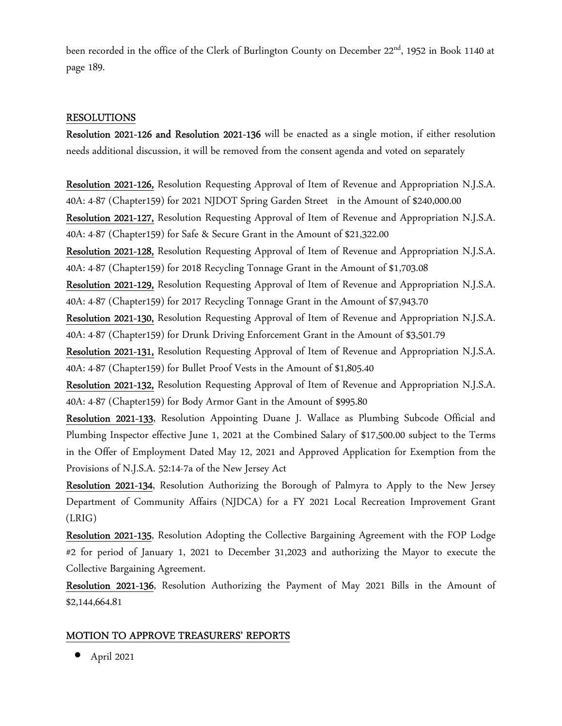been recorded in the office of the Clerk of Burlington County on December 22<sup>nd</sup>, 1952 in Book 1140 at page 189.

### RESOLUTIONS

Resolution 2021-126 and Resolution 2021-136 will be enacted as a single motion, if either resolution needs additional discussion, it will be removed from the consent agenda and voted on separately

Resolution 2021-126, Resolution Requesting Approval of Item of Revenue and Appropriation N.J.S.A. 40A: 4-87 (Chapter159) for 2021 NJDOT Spring Garden Street in the Amount of \$240,000.00 Resolution 2021-127, Resolution Requesting Approval of Item of Revenue and Appropriation N.J.S.A.

40A: 4-87 (Chapter159) for Safe & Secure Grant in the Amount of \$21,322.00

Resolution 2021-128, Resolution Requesting Approval of Item of Revenue and Appropriation N.J.S.A. 40A: 4-87 (Chapter159) for 2018 Recycling Tonnage Grant in the Amount of \$1,703.08

Resolution 2021-129, Resolution Requesting Approval of Item of Revenue and Appropriation N.J.S.A. 40A: 4-87 (Chapter159) for 2017 Recycling Tonnage Grant in the Amount of \$7,943.70

Resolution 2021-130, Resolution Requesting Approval of Item of Revenue and Appropriation N.J.S.A. 40A: 4-87 (Chapter159) for Drunk Driving Enforcement Grant in the Amount of \$3,501.79

Resolution 2021-131, Resolution Requesting Approval of Item of Revenue and Appropriation N.J.S.A. 40A: 4-87 (Chapter159) for Bullet Proof Vests in the Amount of \$1,805.40

Resolution 2021-132, Resolution Requesting Approval of Item of Revenue and Appropriation N.J.S.A. 40A: 4-87 (Chapter159) for Body Armor Gant in the Amount of \$995.80

Resolution 2021-133, Resolution Appointing Duane J. Wallace as Plumbing Subcode Official and Plumbing Inspector effective June 1, 2021 at the Combined Salary of \$17,500.00 subject to the Terms in the Offer of Employment Dated May 12, 2021 and Approved Application for Exemption from the Provisions of N.J.S.A. 52:14-7a of the New Jersey Act

Resolution 2021-134, Resolution Authorizing the Borough of Palmyra to Apply to the New Jersey Department of Community Affairs (NJDCA) for a FY 2021 Local Recreation Improvement Grant (LRIG)

Resolution 2021-135, Resolution Adopting the Collective Bargaining Agreement with the FOP Lodge #2 for period of January 1, 2021 to December 31,2023 and authorizing the Mayor to execute the Collective Bargaining Agreement.

Resolution 2021-136, Resolution Authorizing the Payment of May 2021 Bills in the Amount of \$2,144,664.81

### MOTION TO APPROVE TREASURERS' REPORTS

 $\bullet$  April 2021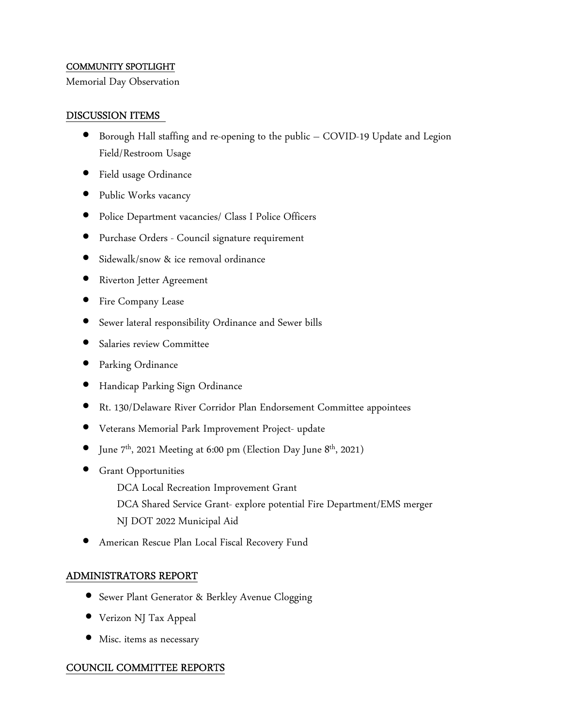#### COMMUNITY SPOTLIGHT

Memorial Day Observation

#### DISCUSSION ITEMS

- Borough Hall staffing and re-opening to the public COVID-19 Update and Legion Field/Restroom Usage
- Field usage Ordinance
- Public Works vacancy
- Police Department vacancies/ Class I Police Officers
- Purchase Orders Council signature requirement
- Sidewalk/snow & ice removal ordinance
- Riverton Jetter Agreement
- Fire Company Lease
- Sewer lateral responsibility Ordinance and Sewer bills
- Salaries review Committee
- Parking Ordinance
- Handicap Parking Sign Ordinance
- Rt. 130/Delaware River Corridor Plan Endorsement Committee appointees
- Veterans Memorial Park Improvement Project- update
- June  $7<sup>th</sup>$ , 2021 Meeting at 6:00 pm (Election Day June  $8<sup>th</sup>$ , 2021)
- Grant Opportunities

DCA Local Recreation Improvement Grant

 DCA Shared Service Grant- explore potential Fire Department/EMS merger NJ DOT 2022 Municipal Aid

• American Rescue Plan Local Fiscal Recovery Fund

### ADMINISTRATORS REPORT

- Sewer Plant Generator & Berkley Avenue Clogging
- Verizon NJ Tax Appeal
- Misc. items as necessary

### COUNCIL COMMITTEE REPORTS